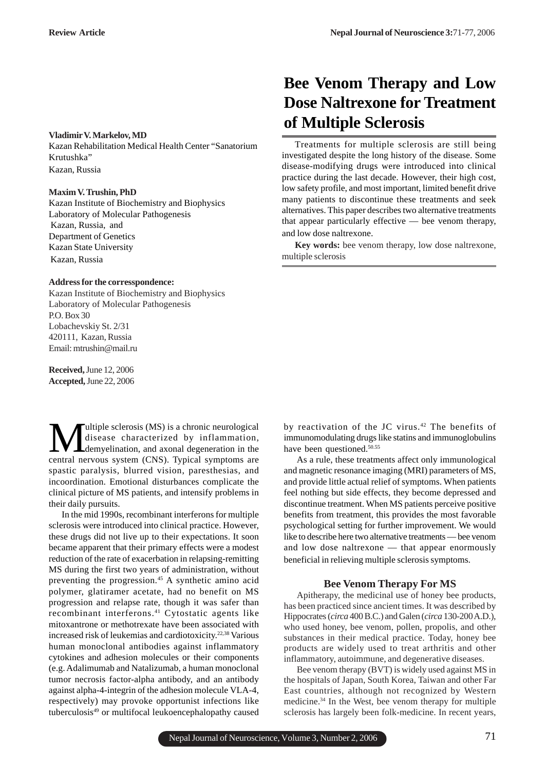#### **Vladimir V. Markelov, MD**

Kazan Rehabilitation Medical Health Center "Sanatorium Krutushka" Kazan, Russia

### **Maxim V. Trushin, PhD**

Kazan Institute of Biochemistry and Biophysics Laboratory of Molecular Pathogenesis Kazan, Russia, and Department of Genetics Kazan State University Kazan, Russia

## **Address for the corresspondence:**

Kazan Institute of Biochemistry and Biophysics Laboratory of Molecular Pathogenesis P.O. Box 30 Lobachevskiy St. 2/31 420111, Kazan, Russia Email: mtrushin@mail.ru

**Received,** June 12, 2006 **Accepted,**June 22, 2006

**Multiple sclerosis (MS) is a chronic neurological**<br>disease characterized by inflammation,<br>control pervous system (CNS). Tunical symptoms are disease characterized by inflammation, demyelination, and axonal degeneration in the central nervous system (CNS). Typical symptoms are spastic paralysis, blurred vision, paresthesias, and incoordination. Emotional disturbances complicate the clinical picture of MS patients, and intensify problems in their daily pursuits.

In the mid 1990s, recombinant interferons for multiple sclerosis were introduced into clinical practice. However, these drugs did not live up to their expectations. It soon became apparent that their primary effects were a modest reduction of the rate of exacerbation in relapsing-remitting MS during the first two years of administration, without preventing the progression.<sup>45</sup> A synthetic amino acid polymer, glatiramer acetate, had no benefit on MS progression and relapse rate, though it was safer than recombinant interferons.41 Cytostatic agents like mitoxantrone or methotrexate have been associated with increased risk of leukemias and cardiotoxicity.22,38 Various human monoclonal antibodies against inflammatory cytokines and adhesion molecules or their components (e.g. Adalimumab and Natalizumab, a human monoclonal tumor necrosis factor-alpha antibody, and an antibody against alpha-4-integrin of the adhesion molecule VLA-4, respectively) may provoke opportunist infections like tuberculosis49 or multifocal leukoencephalopathy caused

# **Bee Venom Therapy and Low Dose Naltrexone for Treatment of Multiple Sclerosis**

Treatments for multiple sclerosis are still being investigated despite the long history of the disease. Some disease-modifying drugs were introduced into clinical practice during the last decade. However, their high cost, low safety profile, and most important, limited benefit drive many patients to discontinue these treatments and seek alternatives. This paper describes two alternative treatments that appear particularly effective — bee venom therapy, and low dose naltrexone.

**Key words:** bee venom therapy, low dose naltrexone, multiple sclerosis

by reactivation of the JC virus.<sup>42</sup> The benefits of immunomodulating drugs like statins and immunoglobulins have been questioned.<sup>50.55</sup>

As a rule, these treatments affect only immunological and magnetic resonance imaging (MRI) parameters of MS, and provide little actual relief of symptoms. When patients feel nothing but side effects, they become depressed and discontinue treatment. When MS patients perceive positive benefits from treatment, this provides the most favorable psychological setting for further improvement. We would like to describe here two alternative treatments — bee venom and low dose naltrexone — that appear enormously beneficial in relieving multiple sclerosis symptoms.

# **Bee Venom Therapy For MS**

Apitherapy, the medicinal use of honey bee products, has been practiced since ancient times. It was described by Hippocrates (*circa* 400 B.C.) and Galen (*circa* 130-200 A.D.), who used honey, bee venom, pollen, propolis, and other substances in their medical practice. Today, honey bee products are widely used to treat arthritis and other inflammatory, autoimmune, and degenerative diseases.

Bee venom therapy (BVT) is widely used against MS in the hospitals of Japan, South Korea, Taiwan and other Far East countries, although not recognized by Western medicine.34 In the West, bee venom therapy for multiple sclerosis has largely been folk-medicine. In recent years,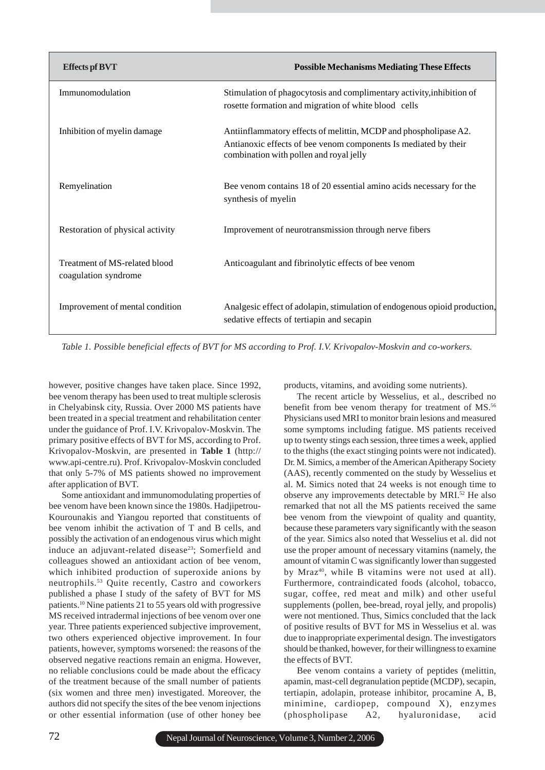| <b>Effects pf BVT</b>                                 | <b>Possible Mechanisms Mediating These Effects</b>                                                                                                                             |
|-------------------------------------------------------|--------------------------------------------------------------------------------------------------------------------------------------------------------------------------------|
| Immunomodulation                                      | Stimulation of phagocytosis and complimentary activity, inhibition of<br>rosette formation and migration of white blood cells                                                  |
| Inhibition of myelin damage                           | Antiinflammatory effects of melittin, MCDP and phospholipase A2.<br>Antianoxic effects of bee venom components Is mediated by their<br>combination with pollen and royal jelly |
| Remyelination                                         | Bee venom contains 18 of 20 essential amino acids necessary for the<br>synthesis of myelin                                                                                     |
| Restoration of physical activity                      | Improvement of neurotransmission through nerve fibers                                                                                                                          |
| Treatment of MS-related blood<br>coagulation syndrome | Anticoagulant and fibrinolytic effects of bee venom                                                                                                                            |
| Improvement of mental condition                       | Analgesic effect of adolapin, stimulation of endogenous opioid production,<br>sedative effects of tertiapin and secapin                                                        |

*Table 1. Possible beneficial effects of BVT for MS according to Prof. I.V. Krivopalov-Moskvin and co-workers.*

however, positive changes have taken place. Since 1992, bee venom therapy has been used to treat multiple sclerosis in Chelyabinsk city, Russia. Over 2000 MS patients have been treated in a special treatment and rehabilitation center under the guidance of Prof. I.V. Krivopalov-Moskvin. The primary positive effects of BVT for MS, according to Prof. Krivopalov-Moskvin, are presented in **Table 1** (http:// www.api-centre.ru). Prof. Krivopalov-Moskvin concluded that only 5-7% of MS patients showed no improvement after application of BVT.

Some antioxidant and immunomodulating properties of bee venom have been known since the 1980s. Hadjipetrou-Kourounakis and Yiangou reported that constituents of bee venom inhibit the activation of T and B cells, and possibly the activation of an endogenous virus which might induce an adjuvant-related disease<sup>23</sup>; Somerfield and colleagues showed an antioxidant action of bee venom, which inhibited production of superoxide anions by neutrophils.53 Quite recently, Castro and coworkers published a phase I study of the safety of BVT for MS patients.10 Nine patients 21 to 55 years old with progressive MS received intradermal injections of bee venom over one year. Three patients experienced subjective improvement, two others experienced objective improvement. In four patients, however, symptoms worsened: the reasons of the observed negative reactions remain an enigma. However, no reliable conclusions could be made about the efficacy of the treatment because of the small number of patients (six women and three men) investigated. Moreover, the authors did not specify the sites of the bee venom injections or other essential information (use of other honey bee products, vitamins, and avoiding some nutrients).

The recent article by Wesselius, et al., described no benefit from bee venom therapy for treatment of MS.<sup>56</sup> Physicians used MRI to monitor brain lesions and measured some symptoms including fatigue. MS patients received up to twenty stings each session, three times a week, applied to the thighs (the exact stinging points were not indicated). Dr. M. Simics, a member of the American Apitherapy Society (AAS), recently commented on the study by Wesselius et al. M. Simics noted that 24 weeks is not enough time to observe any improvements detectable by MRI.<sup>52</sup> He also remarked that not all the MS patients received the same bee venom from the viewpoint of quality and quantity, because these parameters vary significantly with the season of the year. Simics also noted that Wesselius et al. did not use the proper amount of necessary vitamins (namely, the amount of vitamin C was significantly lower than suggested by Mraz<sup>40</sup>, while B vitamins were not used at all). Furthermore, contraindicated foods (alcohol, tobacco, sugar, coffee, red meat and milk) and other useful supplements (pollen, bee-bread, royal jelly, and propolis) were not mentioned. Thus, Simics concluded that the lack of positive results of BVT for MS in Wesselius et al. was due to inappropriate experimental design. The investigators should be thanked, however, for their willingness to examine the effects of BVT.

Bee venom contains a variety of peptides (melittin, apamin, mast-cell degranulation peptide (MCDP), secapin, tertiapin, adolapin, protease inhibitor, procamine A, B, minimine, cardiopep, compound X), enzymes (phospholipase A2, hyaluronidase, acid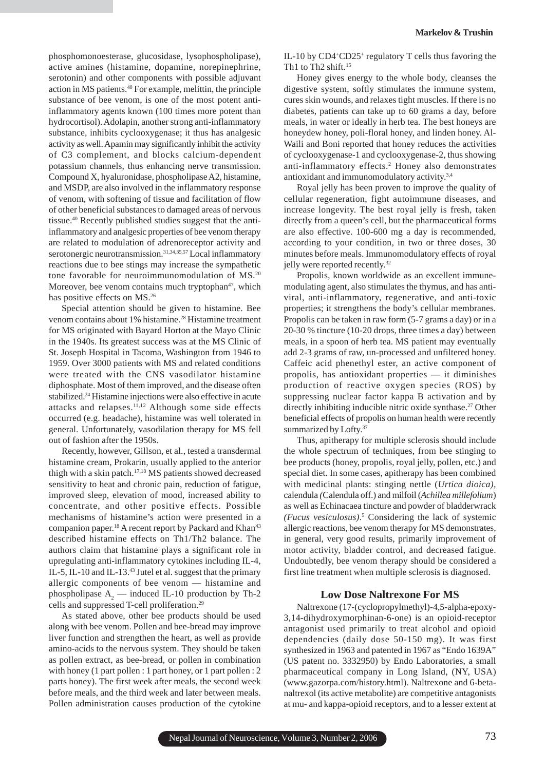phosphomonoesterase, glucosidase, lysophospholipase), active amines (histamine, dopamine, norepinephrine, serotonin) and other components with possible adjuvant action in MS patients.40 For example, melittin, the principle substance of bee venom, is one of the most potent antiinflammatory agents known (100 times more potent than hydrocortisol). Adolapin, another strong anti-inflammatory substance, inhibits cyclooxygenase; it thus has analgesic activity as well. Apamin may significantly inhibit the activity of C3 complement, and blocks calcium-dependent potassium channels, thus enhancing nerve transmission. Compound X, hyaluronidase, phospholipase A2, histamine, and MSDP, are also involved in the inflammatory response of venom, with softening of tissue and facilitation of flow of other beneficial substances to damaged areas of nervous tissue.40 Recently published studies suggest that the antiinflammatory and analgesic properties of bee venom therapy are related to modulation of adrenoreceptor activity and serotonergic neurotransmission.<sup>31,34,35,57</sup> Local inflammatory reactions due to bee stings may increase the sympathetic tone favorable for neuroimmunomodulation of MS.20 Moreover, bee venom contains much tryptophan $47$ , which has positive effects on MS.<sup>26</sup>

Special attention should be given to histamine. Bee venom contains about 1% histamine.<sup>28</sup> Histamine treatment for MS originated with Bayard Horton at the Mayo Clinic in the 1940s. Its greatest success was at the MS Clinic of St. Joseph Hospital in Tacoma, Washington from 1946 to 1959. Over 3000 patients with MS and related conditions were treated with the CNS vasodilator histamine diphosphate. Most of them improved, and the disease often stabilized.<sup>24</sup> Histamine injections were also effective in acute attacks and relapses.<sup>11,12</sup> Although some side effects occurred (e.g. headache), histamine was well tolerated in general. Unfortunately, vasodilation therapy for MS fell out of fashion after the 1950s.

Recently, however, Gillson, et al., tested a transdermal histamine cream, Prokarin, usually applied to the anterior thigh with a skin patch.17,18 MS patients showed decreased sensitivity to heat and chronic pain, reduction of fatigue, improved sleep, elevation of mood, increased ability to concentrate, and other positive effects. Possible mechanisms of histamine's action were presented in a companion paper.<sup>18</sup> A recent report by Packard and Khan<sup>43</sup> described histamine effects on Th1/Th2 balance. The authors claim that histamine plays a significant role in upregulating anti-inflammatory cytokines including IL-4, IL-5, IL-10 and IL-13.43 Jutel et al. suggest that the primary allergic components of bee venom — histamine and phospholipase  $A_2$  — induced IL-10 production by Th-2 cells and suppressed T-cell proliferation.29

As stated above, other bee products should be used along with bee venom. Pollen and bee-bread may improve liver function and strengthen the heart, as well as provide amino-acids to the nervous system. They should be taken as pollen extract, as bee-bread, or pollen in combination with honey (1 part pollen : 1 part honey, or 1 part pollen : 2 parts honey). The first week after meals, the second week before meals, and the third week and later between meals. Pollen administration causes production of the cytokine

IL-10 by CD4<sup>+</sup>CD25<sup>+</sup> regulatory T cells thus favoring the Th<sub>1</sub> to Th<sub>2</sub> shift.<sup>15</sup>

Honey gives energy to the whole body, cleanses the digestive system, softly stimulates the immune system, cures skin wounds, and relaxes tight muscles. If there is no diabetes, patients can take up to 60 grams a day, before meals, in water or ideally in herb tea. The best honeys are honeydew honey, poli-floral honey, and linden honey. Al-Waili and Boni reported that honey reduces the activities of cyclooxygenase-1 and cyclooxygenase-2, thus showing anti-inflammatory effects.<sup>2</sup> Honey also demonstrates antioxidant and immunomodulatory activity.3,4

Royal jelly has been proven to improve the quality of cellular regeneration, fight autoimmune diseases, and increase longevity. The best royal jelly is fresh, taken directly from a queen's cell, but the pharmaceutical forms are also effective. 100-600 mg a day is recommended, according to your condition, in two or three doses, 30 minutes before meals. Immunomodulatory effects of royal jelly were reported recently.<sup>32</sup>

Propolis, known worldwide as an excellent immunemodulating agent, also stimulates the thymus, and has antiviral, anti-inflammatory, regenerative, and anti-toxic properties; it strengthens the body's cellular membranes*.* Propolis can be taken in raw form (5-7 grams a day) or in a 20-30 % tincture (10-20 drops, three times a day) between meals, in a spoon of herb tea. MS patient may eventually add 2-3 grams of raw, un-processed and unfiltered honey. Caffeic acid phenethyl ester, an active component of propolis, has antioxidant properties — it diminishes production of reactive oxygen species (ROS) by suppressing nuclear factor kappa B activation and by directly inhibiting inducible nitric oxide synthase.<sup>27</sup> Other beneficial effects of propolis on human health were recently summarized by Lofty.<sup>37</sup>

Thus, apitherapy for multiple sclerosis should include the whole spectrum of techniques, from bee stinging to bee products (honey, propolis, royal jelly, pollen, etc.) and special diet. In some cases, apitherapy has been combined with medicinal plants: stinging nettle (*Urtica dioica),* calendula *(*Calendula off.) and milfoil (*Achillea millefolium*) as well as Echinacaea tincture and powder of bladderwrack *(Fucus vesiculosus)*. 5 Considering the lack of systemic allergic reactions, bee venom therapy for MS demonstrates, in general, very good results, primarily improvement of motor activity, bladder control, and decreased fatigue. Undoubtedly, bee venom therapy should be considered a first line treatment when multiple sclerosis is diagnosed.

## **Low Dose Naltrexone For MS**

Naltrexone (17-(cyclopropylmethyl)-4,5-alpha-epoxy-3,14-dihydroxymorphinan-6-one) is an opioid-receptor antagonist used primarily to treat alcohol and opioid dependencies (daily dose 50-150 mg). It was first synthesized in 1963 and patented in 1967 as "Endo 1639A" (US patent no. 3332950) by Endo Laboratories, a small pharmaceutical company in Long Island, (NY, USA) (www.gazorpa.com/history.html). Naltrexone and 6-betanaltrexol (its active metabolite) are competitive antagonists at mu- and kappa-opioid receptors, and to a lesser extent at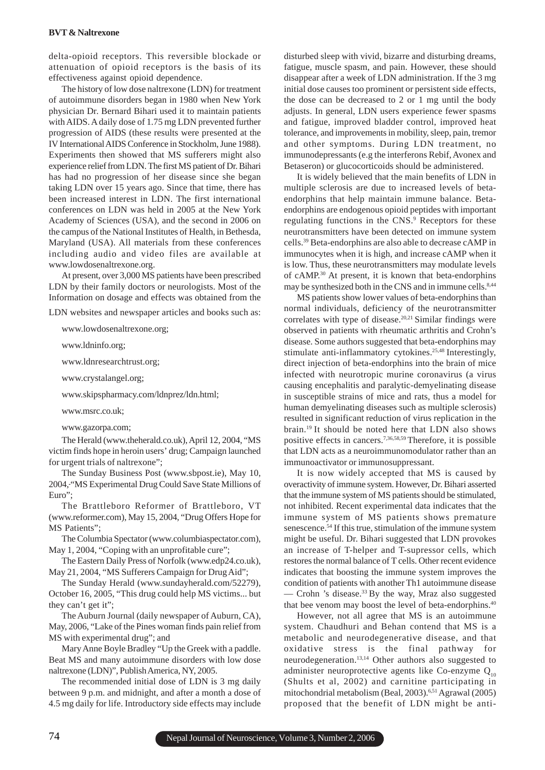delta-opioid receptors. This reversible blockade or attenuation of opioid receptors is the basis of its effectiveness against opioid dependence.

The history of low dose naltrexone (LDN) for treatment of autoimmune disorders began in 1980 when New York physician Dr. Bernard Bihari used it to maintain patients with AIDS. A daily dose of 1.75 mg LDN prevented further progression of AIDS (these results were presented at the IV International AIDS Conference in Stockholm, June 1988). Experiments then showed that MS sufferers might also experience relief from LDN. The first MS patient of Dr. Bihari has had no progression of her disease since she began taking LDN over 15 years ago. Since that time, there has been increased interest in LDN. The first international conferences on LDN was held in 2005 at the New York Academy of Sciences (USA), and the second in 2006 on the campus of the National Institutes of Health, in Bethesda, Maryland (USA). All materials from these conferences including audio and video files are available at www.lowdosenaltrexone.org.

At present, over 3,000 MS patients have been prescribed LDN by their family doctors or neurologists. Most of the Information on dosage and effects was obtained from the

LDN websites and newspaper articles and books such as:

www.lowdosenaltrexone.org;

www.ldninfo.org;

www.ldnresearchtrust.org;

www.crystalangel.org;

www.skipspharmacy.com/ldnprez/ldn.html;

www.msrc.co.uk;

www.gazorpa.com;

The Herald (www.theherald.co.uk), April 12, 2004, "MS victim finds hope in heroin users' drug; Campaign launched for urgent trials of naltrexone";

The Sunday Business Post (www.sbpost.ie), May 10, 2004, "MS Experimental Drug Could Save State Millions of Euro";

The Brattleboro Reformer of Brattleboro, VT (www.reformer.com), May 15, 2004, "Drug Offers Hope for MS Patients";

The Columbia Spectator (www.columbiaspectator.com), May 1, 2004, "Coping with an unprofitable cure";

The Eastern Daily Press of Norfolk (www.edp24.co.uk), May 21, 2004, "MS Sufferers Campaign for Drug Aid";

The Sunday Herald (www.sundayherald.com/52279), October 16, 2005, "This drug could help MS victims... but they can't get it";

The Auburn Journal (daily newspaper of Auburn, CA), May, 2006, "Lake of the Pines woman finds pain relief from MS with experimental drug"; and

Mary Anne Boyle Bradley "Up the Greek with a paddle. Beat MS and many autoimmune disorders with low dose naltrexone (LDN)", Publish America, NY, 2005.

The recommended initial dose of LDN is 3 mg daily between 9 p.m. and midnight, and after a month a dose of 4.5 mg daily for life. Introductory side effects may include

disturbed sleep with vivid, bizarre and disturbing dreams, fatigue, muscle spasm, and pain. However, these should disappear after a week of LDN administration. If the 3 mg initial dose causes too prominent or persistent side effects, the dose can be decreased to 2 or 1 mg until the body adjusts. In general, LDN users experience fewer spasms and fatigue, improved bladder control, improved heat tolerance, and improvements in mobility, sleep, pain, tremor and other symptoms. During LDN treatment, no immunodepressants (e.g the interferons Rebif, Avonex and Betaseron) or glucocorticoids should be administered.

It is widely believed that the main benefits of LDN in multiple sclerosis are due to increased levels of betaendorphins that help maintain immune balance. Betaendorphins are endogenous opioid peptides with important regulating functions in the CNS.<sup>9</sup> Receptors for these neurotransmitters have been detected on immune system cells.39 Beta-endorphins are also able to decrease cAMP in immunocytes when it is high, and increase cAMP when it is low. Thus, these neurotransmitters may modulate levels of cAMP.30 At present, it is known that beta-endorphins may be synthesized both in the CNS and in immune cells.<sup>8,44</sup>

MS patients show lower values of beta-endorphins than normal individuals, deficiency of the neurotransmitter correlates with type of disease.20,21 Similar findings were observed in patients with rheumatic arthritis and Crohn's disease. Some authors suggested that beta-endorphins may stimulate anti-inflammatory cytokines.<sup>25,48</sup> Interestingly, direct injection of beta-endorphins into the brain of mice infected with neurotropic murine coronavirus (a virus causing encephalitis and paralytic-demyelinating disease in susceptible strains of mice and rats, thus a model for human demyelinating diseases such as multiple sclerosis) resulted in significant reduction of virus replication in the brain.19 It should be noted here that LDN also shows positive effects in cancers.7,36,58,59 Therefore, it is possible that LDN acts as a neuroimmunomodulator rather than an immunoactivator or immunosuppressant.

It is now widely accepted that MS is caused by overactivity of immune system. However, Dr. Bihari asserted that the immune system of MS patients should be stimulated, not inhibited. Recent experimental data indicates that the immune system of MS patients shows premature senescence.<sup>54</sup> If this true, stimulation of the immune system might be useful. Dr. Bihari suggested that LDN provokes an increase of T-helper and T-supressor cells, which restores the normal balance of T cells. Other recent evidence indicates that boosting the immune system improves the condition of patients with another Th1 autoimmune disease — Crohn 's disease.33 By the way, Mraz also suggested that bee venom may boost the level of beta-endorphins.<sup>40</sup>

However, not all agree that MS is an autoimmune system. Chaudhuri and Behan contend that MS is a metabolic and neurodegenerative disease, and that oxidative stress is the final pathway for neurodegeneration.13,14 Other authors also suggested to administer neuroprotective agents like Co-enzyme  $Q_{10}$ (Shults et al, 2002) and carnitine participating in mitochondrial metabolism (Beal, 2003).<sup>6,51</sup> Agrawal (2005) proposed that the benefit of LDN might be anti-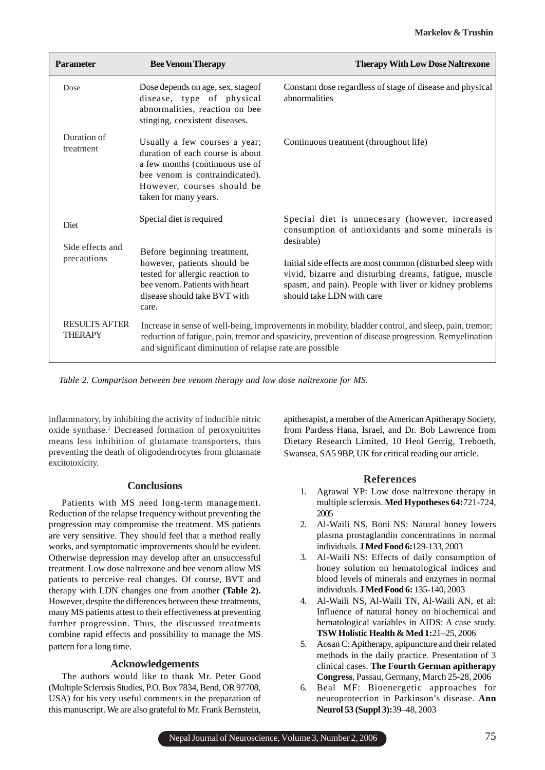| <b>Parameter</b>                       | <b>Bee Venom Therapy</b>                                                                                                                                                                                                                                               | <b>Therapy With Low Dose Naltrexone</b>                                                                                                                                                                    |
|----------------------------------------|------------------------------------------------------------------------------------------------------------------------------------------------------------------------------------------------------------------------------------------------------------------------|------------------------------------------------------------------------------------------------------------------------------------------------------------------------------------------------------------|
| Dose                                   | Dose depends on age, sex, stageof<br>disease, type of physical<br>abnormalities, reaction on bee<br>stinging, coexistent diseases.                                                                                                                                     | Constant dose regardless of stage of disease and physical<br>abnormalities                                                                                                                                 |
| Duration of<br>treatment               | Usually a few courses a year;<br>duration of each course is about<br>a few months (continuous use of<br>bee venom is contraindicated).<br>However, courses should be<br>taken for many years.                                                                          | Continuous treatment (throughout life)                                                                                                                                                                     |
| Diet<br>Side effects and               | Special diet is required                                                                                                                                                                                                                                               | Special diet is unnecesary (however, increased<br>consumption of antioxidants and some minerals is<br>desirable)                                                                                           |
| precautions                            | Before beginning treatment,<br>however, patients should be<br>tested for allergic reaction to<br>bee venom. Patients with heart<br>disease should take BVT with<br>care.                                                                                               | Initial side effects are most common (disturbed sleep with<br>vivid, bizarre and disturbing dreams, fatigue, muscle<br>spasm, and pain). People with liver or kidney problems<br>should take LDN with care |
| <b>RESULTS AFTER</b><br><b>THERAPY</b> | Increase in sense of well-being, improvements in mobility, bladder control, and sleep, pain, tremor;<br>reduction of fatigue, pain, tremor and spasticity, prevention of disease progression. Remyelination<br>and significant diminution of relapse rate are possible |                                                                                                                                                                                                            |

*Table 2. Comparison between bee venom therapy and low dose naltrexone for MS.*

inflammatory, by inhibiting the activity of inducible nitric oxide synthase.<sup>1</sup> Decreased formation of peroxynitrites means less inhibition of glutamate transporters, thus preventing the death of oligodendrocytes from glutamate excitotoxicity.

# **Conclusions**

Patients with MS need long-term management. Reduction of the relapse frequency without preventing the progression may compromise the treatment. MS patients are very sensitive. They should feel that a method really works, and symptomatic improvements should be evident. Otherwise depression may develop after an unsuccessful treatment. Low dose naltrexone and bee venom allow MS patients to perceive real changes. Of course, BVT and therapy with LDN changes one from another **(Table 2).** However, despite the differences between these treatments, many MS patients attest to their effectiveness at preventing further progression. Thus, the discussed treatments combine rapid effects and possibility to manage the MS pattern for a long time.

# **Acknowledgements**

The authors would like to thank Mr. Peter Good (Multiple Sclerosis Studies, P.O. Box 7834, Bend, OR 97708, USA) for his very useful comments in the preparation of this manuscript. We are also grateful to Mr. Frank Bernstein,

apitherapist, a member of the American Apitherapy Society, from Pardess Hana, Israel, and Dr. Bob Lawrence from Dietary Research Limited, 10 Heol Gerrig, Treboeth, Swansea, SA5 9BP, UK for critical reading our article.

# **References**

- 1. Agrawal YP: Low dose naltrexone therapy in multiple sclerosis. **Med Hypotheses 64:**721-724, 2005
- 2. Al-Waili NS, Boni NS: Natural honey lowers plasma prostaglandin concentrations in normal individuals. **J Med Food 6:**129-133, 2003
- 3. Al-Waili NS: Effects of daily consumption of honey solution on hematological indices and blood levels of minerals and enzymes in normal individuals. **J Med Food 6:** 135-140, 2003
- 4. Al-Waili NS, Al-Waili TN, Al-Waili AN, et al: Influence of natural honey on biochemical and hematological variables in AIDS: A case study. **TSW Holistic Health & Med 1:**21–25, 2006
- 5. Aosan C: Apitherapy, apipuncture and their related methods in the daily practice. Presentation of 3 clinical cases. **The Fourth German apitherapy Congress**, Passau, Germany, March 25-28, 2006
- 6. Beal MF: Bioenergetic approaches for neuroprotection in Parkinson's disease. **Ann Neurol 53 (Suppl 3):**39–48, 2003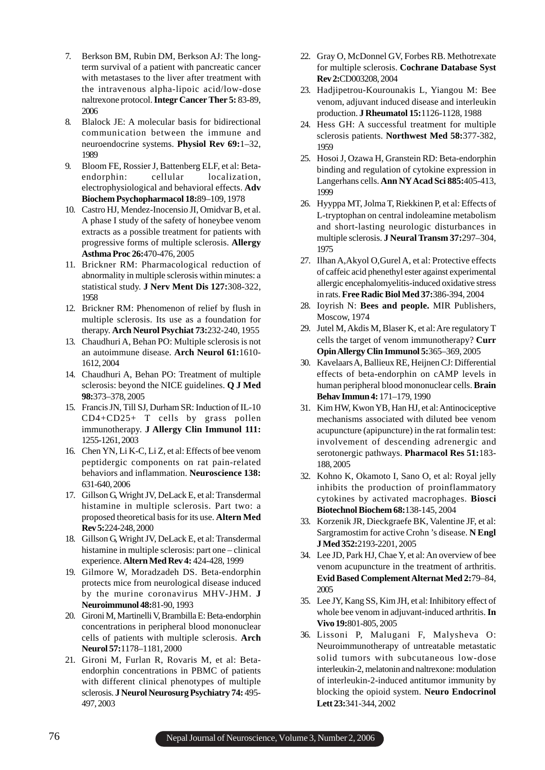- 7. Berkson BM, Rubin DM, Berkson AJ: The longterm survival of a patient with pancreatic cancer with metastases to the liver after treatment with the intravenous alpha-lipoic acid/low-dose naltrexone protocol. **Integr Cancer Ther 5:** 83-89, 2006
- 8. Blalock JE: A molecular basis for bidirectional communication between the immune and neuroendocrine systems. **Physiol Rev 69:**1–32, 1989
- 9. Bloom FE, Rossier J, Battenberg ELF, et al: Betaendorphin: cellular localization, electrophysiological and behavioral effects. **Adv Biochem Psychopharmacol 18:**89–109, 1978
- 10. Castro HJ, Mendez-Inocensio JI, Omidvar B, et al. A phase I study of the safety of honeybee venom extracts as a possible treatment for patients with progressive forms of multiple sclerosis. **Allergy Asthma Proc 26:**470-476, 2005
- 11. Brickner RM: Pharmacological reduction of abnormality in multiple sclerosis within minutes: a statistical study. **J Nerv Ment Dis 127:**308-322, 1958
- 12. Brickner RM: Phenomenon of relief by flush in multiple sclerosis. Its use as a foundation for therapy. **Arch Neurol Psychiat 73:**232-240, 1955
- 13. Chaudhuri A, Behan PO: Multiple sclerosis is not an autoimmune disease. **Arch Neurol 61:**1610- 1612, 2004
- 14. Chaudhuri A, Behan PO: Treatment of multiple sclerosis: beyond the NICE guidelines. **Q J Med 98:**373–378, 2005
- 15. Francis JN, Till SJ, Durham SR: Induction of IL-10 CD4+CD25+ T cells by grass pollen immunotherapy. **J Allergy Clin Immunol 111:** 1255-1261, 2003
- 16. Chen YN, Li K-C, Li Z, et al: Effects of bee venom peptidergic components on rat pain-related behaviors and inflammation. **Neuroscience 138:** 631-640, 2006
- 17. Gillson G, Wright JV, DeLack E, et al: Transdermal histamine in multiple sclerosis. Part two: a proposed theoretical basis for its use. **Altern Med Rev 5:**224-248, 2000
- 18. Gillson G, Wright JV, DeLack E, et al: Transdermal histamine in multiple sclerosis: part one – clinical experience. **Altern Med Rev 4:** 424-428, 1999
- 19. Gilmore W, Moradzadeh DS. Beta-endorphin protects mice from neurological disease induced by the murine coronavirus MHV-JHM. **J Neuroimmunol 48:**81-90, 1993
- 20. Gironi M, Martinelli V, Brambilla E: Beta-endorphin concentrations in peripheral blood mononuclear cells of patients with multiple sclerosis. **Arch Neurol 57:**1178–1181, 2000
- 21. Gironi M, Furlan R, Rovaris M, et al: Betaendorphin concentrations in PBMC of patients with different clinical phenotypes of multiple sclerosis. **J Neurol Neurosurg Psychiatry 74:** 495- 497, 2003
- 22. Gray O, McDonnel GV, Forbes RB. Methotrexate for multiple sclerosis. **Cochrane Database Syst Rev 2:**CD003208, 2004
- 23. Hadjipetrou-Kourounakis L, Yiangou M: Bee venom, adjuvant induced disease and interleukin production. **J Rheumatol 15:**1126-1128, 1988
- 24. Hess GH: A successful treatment for multiple sclerosis patients. **Northwest Med 58:**377-382, 1959
- 25. Hosoi J, Ozawa H, Granstein RD: Beta-endorphin binding and regulation of cytokine expression in Langerhans cells. **Ann NY Acad Sci 885:**405-413, 1999
- 26. Hyyppa MT, Jolma T, Riekkinen P, et al: Effects of L-tryptophan on central indoleamine metabolism and short-lasting neurologic disturbances in multiple sclerosis. **J Neural Transm 37:**297–304, 1975
- 27. Ilhan A,Akyol O,Gurel A, et al: Protective effects of caffeic acid phenethyl ester against experimental allergic encephalomyelitis-induced oxidative stress in rats. **Free Radic Biol Med 37:**386-394, 2004
- 28. Ioyrish N: **Bees and people.** MIR Publishers, Moscow, 1974
- 29. Jutel M, Akdis M, Blaser K, et al: Are regulatory T cells the target of venom immunotherapy? **Curr Opin Allergy Clin Immunol 5:**365–369, 2005
- 30. Kavelaars A, Ballieux RE, Heijnen CJ: Differential effects of beta-endorphin on cAMP levels in human peripheral blood mononuclear cells. **Brain Behav Immun 4:** 171–179, 1990
- 31. Kim HW, Kwon YB, Han HJ, et al: Antinociceptive mechanisms associated with diluted bee venom acupuncture (apipuncture) in the rat formalin test: involvement of descending adrenergic and serotonergic pathways. **Pharmacol Res 51:**183- 188, 2005
- 32. Kohno K, Okamoto I, Sano O, et al: Royal jelly inhibits the production of proinflammatory cytokines by activated macrophages. **Biosci Biotechnol Biochem 68:**138-145, 2004
- 33. Korzenik JR, Dieckgraefe BK, Valentine JF, et al: Sargramostim for active Crohn 's disease. **N Engl J Med 352:**2193-2201, 2005
- 34. Lee JD, Park HJ, Chae Y, et al: An overview of bee venom acupuncture in the treatment of arthritis. **Evid Based Complement Alternat Med 2:**79–84, 2005
- 35. Lee JY, Kang SS, Kim JH, et al: Inhibitory effect of whole bee venom in adjuvant-induced arthritis. **In Vivo 19:**801-805, 2005
- 36. Lissoni P, Malugani F, Malysheva O: Neuroimmunotherapy of untreatable metastatic solid tumors with subcutaneous low-dose interleukin-2, melatonin and naltrexone: modulation of interleukin-2-induced antitumor immunity by blocking the opioid system. **Neuro Endocrinol Lett 23:**341-344, 2002